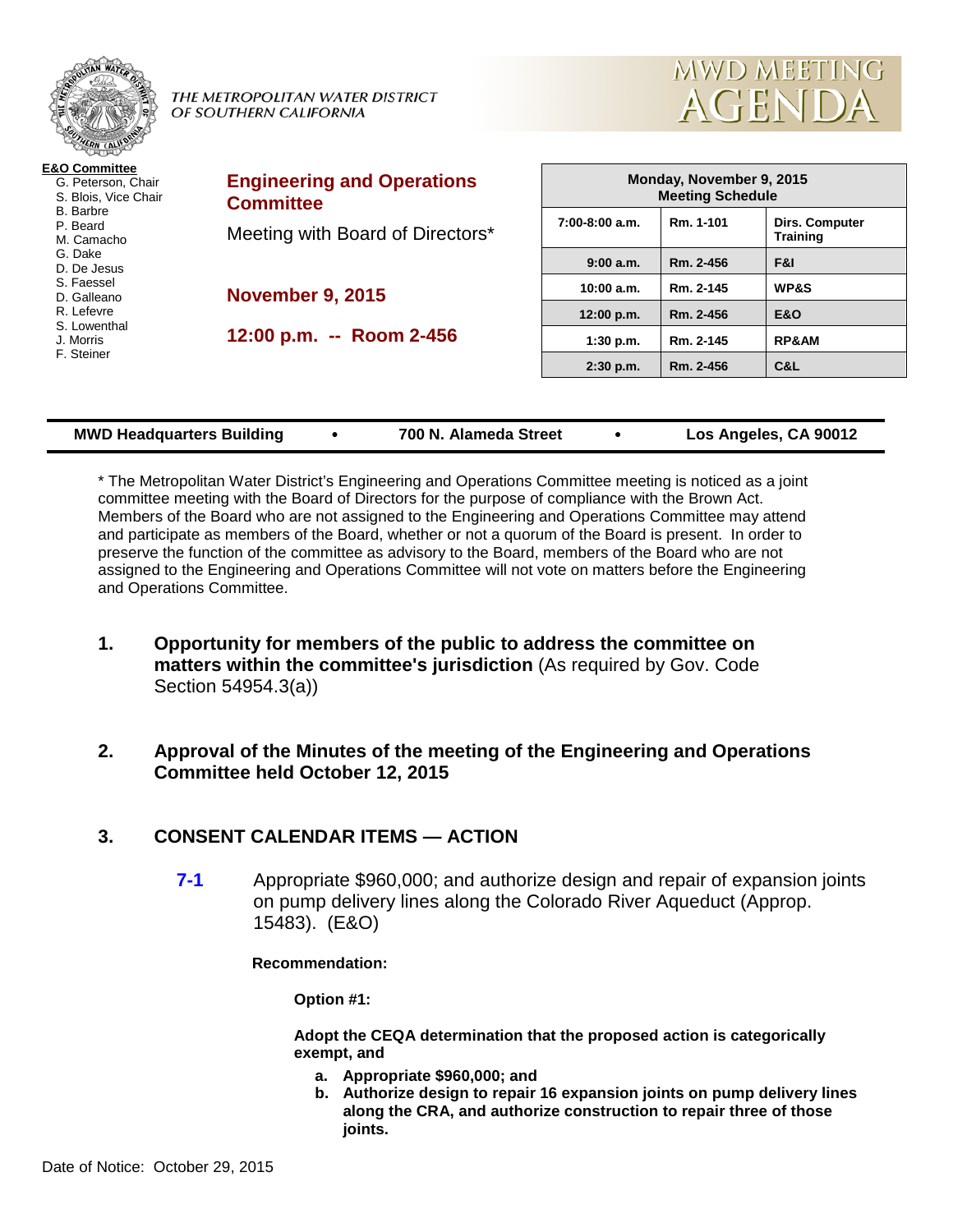|                                                                        | THE METROPOLITAN WATER DISTRICT<br>OF SOUTHERN CALIFORNIA | <b>MWD MEETING</b><br>AGENDA                        |           |                                          |  |
|------------------------------------------------------------------------|-----------------------------------------------------------|-----------------------------------------------------|-----------|------------------------------------------|--|
| <b>E&amp;O Committee</b><br>G. Peterson, Chair<br>S. Blois, Vice Chair | <b>Engineering and Operations</b><br><b>Committee</b>     | Monday, November 9, 2015<br><b>Meeting Schedule</b> |           |                                          |  |
| B. Barbre<br>P. Beard<br>M. Camacho                                    | Meeting with Board of Directors*                          | $7:00-8:00$ a.m.                                    | Rm. 1-101 | <b>Dirs. Computer</b><br><b>Training</b> |  |
| G. Dake<br>D. De Jesus                                                 |                                                           | 9:00 a.m.                                           | Rm. 2-456 | F&I                                      |  |
| S. Faessel<br>D. Galleano                                              | <b>November 9, 2015</b>                                   | 10:00 a.m.                                          | Rm. 2-145 | <b>WP&amp;S</b>                          |  |
| R. Lefevre                                                             |                                                           | 12:00 p.m.                                          | Rm. 2-456 | <b>E&amp;O</b>                           |  |
| S. Lowenthal<br>J. Morris                                              | 12:00 p.m. -- Room 2-456                                  | 1:30 p.m.                                           | Rm. 2-145 | <b>RP&amp;AM</b>                         |  |
| F. Steiner                                                             |                                                           | $2:30$ p.m.                                         | Rm. 2-456 | C&L                                      |  |

|  | <b>MWD Headquarters Building</b> |  | 700 N. Alameda Street |  | Los Angeles, CA 90012 |
|--|----------------------------------|--|-----------------------|--|-----------------------|
|--|----------------------------------|--|-----------------------|--|-----------------------|

\* The Metropolitan Water District's Engineering and Operations Committee meeting is noticed as a joint committee meeting with the Board of Directors for the purpose of compliance with the Brown Act. Members of the Board who are not assigned to the Engineering and Operations Committee may attend and participate as members of the Board, whether or not a quorum of the Board is present. In order to preserve the function of the committee as advisory to the Board, members of the Board who are not assigned to the Engineering and Operations Committee will not vote on matters before the Engineering and Operations Committee.

**1. Opportunity for members of the public to address the committee on matters within the committee's jurisdiction** (As required by Gov. Code Section 54954.3(a))

## **2. Approval of the Minutes of the meeting of the Engineering and Operations Committee held October 12, 2015**

# **3. CONSENT CALENDAR ITEMS — ACTION**

**7-1** Appropriate \$960,000; and authorize design and repair of expansion joints on pump delivery lines along the Colorado River Aqueduct (Approp. 15483). (E&O)

**Recommendation:**

**Option #1:**

**Adopt the CEQA determination that the proposed action is categorically exempt, and**

- **a. Appropriate \$960,000; and**
- **b. Authorize design to repair 16 expansion joints on pump delivery lines along the CRA, and authorize construction to repair three of those joints.**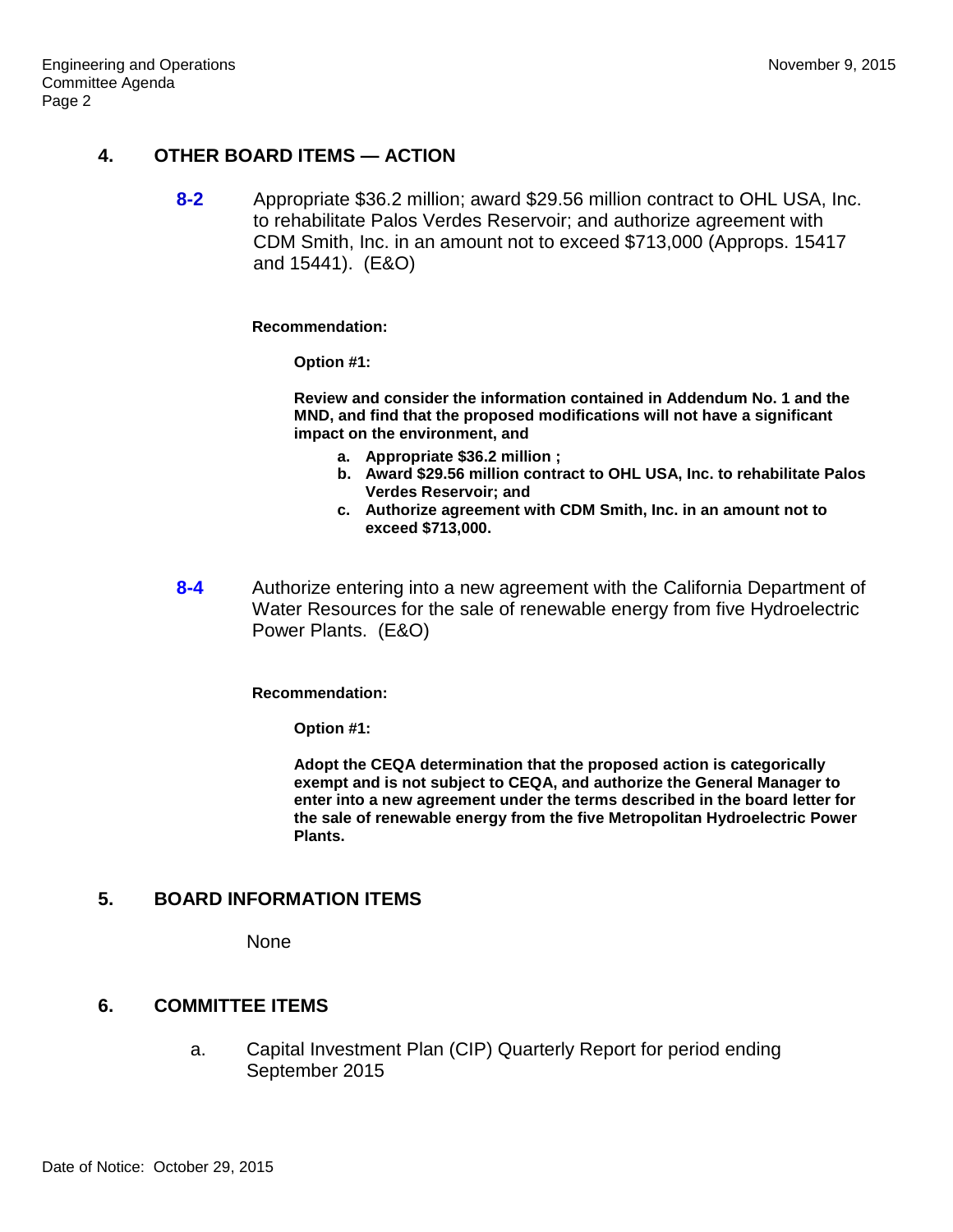## **4. OTHER BOARD ITEMS — ACTION**

**8-2** Appropriate \$36.2 million; award \$29.56 million contract to OHL USA, Inc. to rehabilitate Palos Verdes Reservoir; and authorize agreement with CDM Smith, Inc. in an amount not to exceed \$713,000 (Approps. 15417 and 15441). (E&O)

#### **Recommendation:**

**Option #1:**

**Review and consider the information contained in Addendum No. 1 and the MND, and find that the proposed modifications will not have a significant impact on the environment, and**

- **a. Appropriate \$36.2 million ;**
- **b. Award \$29.56 million contract to OHL USA, Inc. to rehabilitate Palos Verdes Reservoir; and**
- **c. Authorize agreement with CDM Smith, Inc. in an amount not to exceed \$713,000.**
- **8-4** Authorize entering into a new agreement with the California Department of Water Resources for the sale of renewable energy from five Hydroelectric Power Plants. (E&O)

#### **Recommendation:**

**Option #1:**

**Adopt the CEQA determination that the proposed action is categorically exempt and is not subject to CEQA, and authorize the General Manager to enter into a new agreement under the terms described in the board letter for the sale of renewable energy from the five Metropolitan Hydroelectric Power Plants.**

## **5. BOARD INFORMATION ITEMS**

None

### **6. COMMITTEE ITEMS**

a. Capital Investment Plan (CIP) Quarterly Report for period ending September 2015